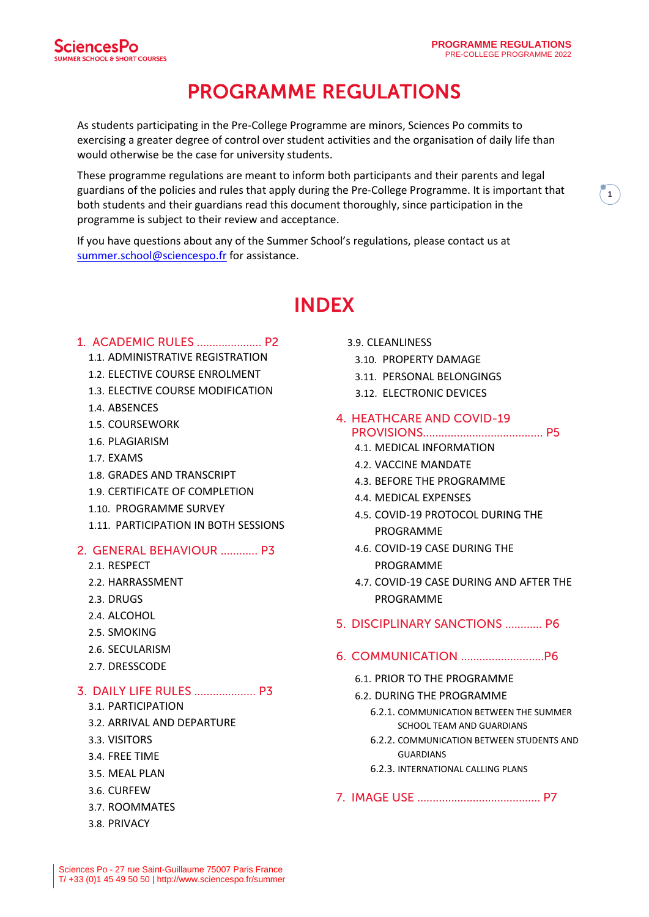# PROGRAMME REGULATIONS

As students participating in the Pre-College Programme are minors, Sciences Po commits to exercising a greater degree of control over student activities and the organisation of daily life than would otherwise be the case for university students.

These programme regulations are meant to inform both participants and their parents and legal guardians of the policies and rules that apply during the Pre-College Programme. It is important that both students and their guardians read this document thoroughly, since participation in the programme is subject to their review and acceptance.

If you have questions about any of the Summer School's regulations, please contact us at [summer.school@sciencespo.fr](mailto:summer.school@sciencespo.fr) for assistance.

# INDEX

# 1. ACADEMIC RULES ………………… P2

- 1.1. ADMINISTRATIVE REGISTRATION
- 1.2. ELECTIVE COURSE ENROLMENT
- 1.3. ELECTIVE COURSE MODIFICATION
- 1.4. ABSENCES
- 1.5. COURSEWORK
- 1.6. PLAGIARISM
- 1.7. EXAMS
- 1.8. GRADES AND TRANSCRIPT
- 1.9. CERTIFICATE OF COMPLETION
- 1.10. PROGRAMME SURVEY
- 1.11. PARTICIPATION IN BOTH SESSIONS

### 2. GENERAL BEHAVIOUR ………… P3

- 2.1. RESPECT
- 2.2. HARRASSMENT
- 2.3. DRUGS
- 2.4. ALCOHOL
- 2.5. SMOKING
- 2.6. SECULARISM
- 2.7. DRESSCODE

### 3. DAILY LIFE RULES ………..……… P3

- 3.1. PARTICIPATION
- 3.2. ARRIVAL AND DEPARTURE
- 3.3. VISITORS
- 3.4. FREE TIME
- 3.5. MEAL PLAN
- 3.6. CURFEW
- 3.7. ROOMMATES
- 3.8. PRIVACY
- 3.9. CLEANLINESS
- 3.10. PROPERTY DAMAGE
- 3.11. PERSONAL BELONGINGS
- 3.12. ELECTRONIC DEVICES
- 4. HEATHCARE AND COVID-19 PROVISIONS…………………………….….. P5
	- 4.1. MEDICAL INFORMATION
	- 4.2. VACCINE MANDATE
	- 4.3. BEFORE THE PROGRAMME
	- 4.4. MEDICAL EXPENSES
	- 4.5. COVID-19 PROTOCOL DURING THE PROGRAMME
	- 4.6. COVID-19 CASE DURING THE PROGRAMME
	- 4.7. COVID-19 CASE DURING AND AFTER THE PROGRAMME
- 5. DISCIPLINARY SANCTIONS .……..… P6
- 6. COMMUNICATION ……………………...P6
	- 6.1. PRIOR TO THE PROGRAMME

#### 6.2. DURING THE PROGRAMME

- 6.2.1. COMMUNICATION BETWEEN THE SUMMER SCHOOL TEAM AND GUARDIANS
- 6.2.2. COMMUNICATION BETWEEN STUDENTS AND GUARDIANS
- 6.2.3. INTERNATIONAL CALLING PLANS
- 7. IMAGE USE …………..…………………….. P7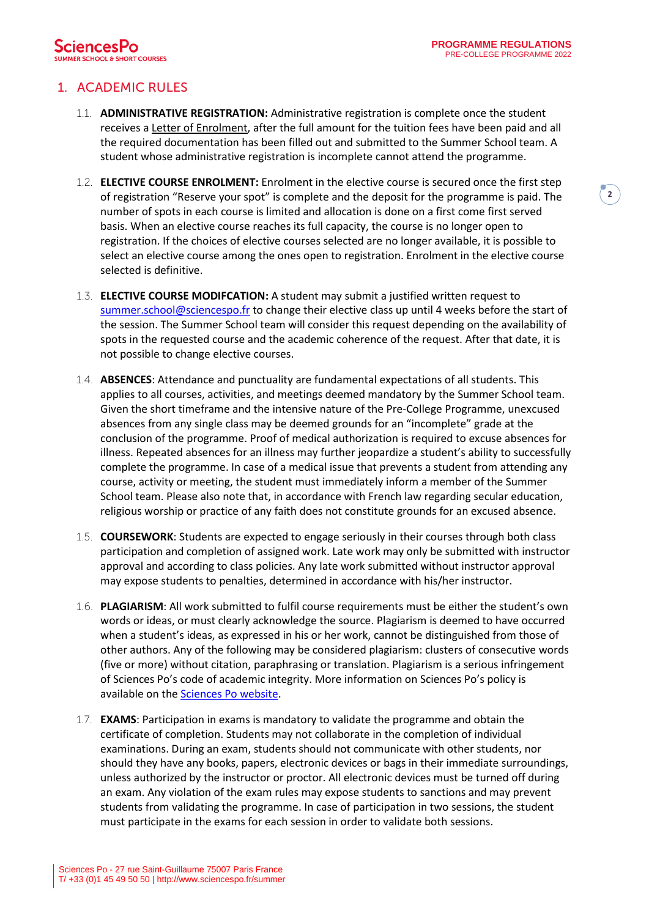# 1. ACADEMIC RULES

- 1.1. **ADMINISTRATIVE REGISTRATION:** Administrative registration is complete once the student receives a Letter of Enrolment, after the full amount for the tuition fees have been paid and all the required documentation has been filled out and submitted to the Summer School team. A student whose administrative registration is incomplete cannot attend the programme.
- 1.2. **ELECTIVE COURSE ENROLMENT:** Enrolment in the elective course is secured once the first step of registration "Reserve your spot" is complete and the deposit for the programme is paid. The number of spots in each course is limited and allocation is done on a first come first served basis. When an elective course reaches its full capacity, the course is no longer open to registration. If the choices of elective courses selected are no longer available, it is possible to select an elective course among the ones open to registration. Enrolment in the elective course selected is definitive.
- 1.3. **ELECTIVE COURSE MODIFCATION:** A student may submit a justified written request to [summer.school@sciencespo.fr](mailto:summer.school@sciencespo.fr) to change their elective class up until 4 weeks before the start of the session. The Summer School team will consider this request depending on the availability of spots in the requested course and the academic coherence of the request. After that date, it is not possible to change elective courses.
- 1.4. **ABSENCES**: Attendance and punctuality are fundamental expectations of all students. This applies to all courses, activities, and meetings deemed mandatory by the Summer School team. Given the short timeframe and the intensive nature of the Pre-College Programme, unexcused absences from any single class may be deemed grounds for an "incomplete" grade at the conclusion of the programme. Proof of medical authorization is required to excuse absences for illness. Repeated absences for an illness may further jeopardize a student's ability to successfully complete the programme. In case of a medical issue that prevents a student from attending any course, activity or meeting, the student must immediately inform a member of the Summer School team. Please also note that, in accordance with French law regarding secular education, religious worship or practice of any faith does not constitute grounds for an excused absence.
- 1.5. **COURSEWORK**: Students are expected to engage seriously in their courses through both class participation and completion of assigned work. Late work may only be submitted with instructor approval and according to class policies. Any late work submitted without instructor approval may expose students to penalties, determined in accordance with his/her instructor.
- 1.6. **PLAGIARISM**: All work submitted to fulfil course requirements must be either the student's own words or ideas, or must clearly acknowledge the source. Plagiarism is deemed to have occurred when a student's ideas, as expressed in his or her work, cannot be distinguished from those of other authors. Any of the following may be considered plagiarism: clusters of consecutive words (five or more) without citation, paraphrasing or translation. Plagiarism is a serious infringement of Sciences Po's code of academic integrity. More information on Sciences Po's policy is available on the **Sciences Po website**.
- 1.7. **EXAMS**: Participation in exams is mandatory to validate the programme and obtain the certificate of completion. Students may not collaborate in the completion of individual examinations. During an exam, students should not communicate with other students, nor should they have any books, papers, electronic devices or bags in their immediate surroundings, unless authorized by the instructor or proctor. All electronic devices must be turned off during an exam. Any violation of the exam rules may expose students to sanctions and may prevent students from validating the programme. In case of participation in two sessions, the student must participate in the exams for each session in order to validate both sessions.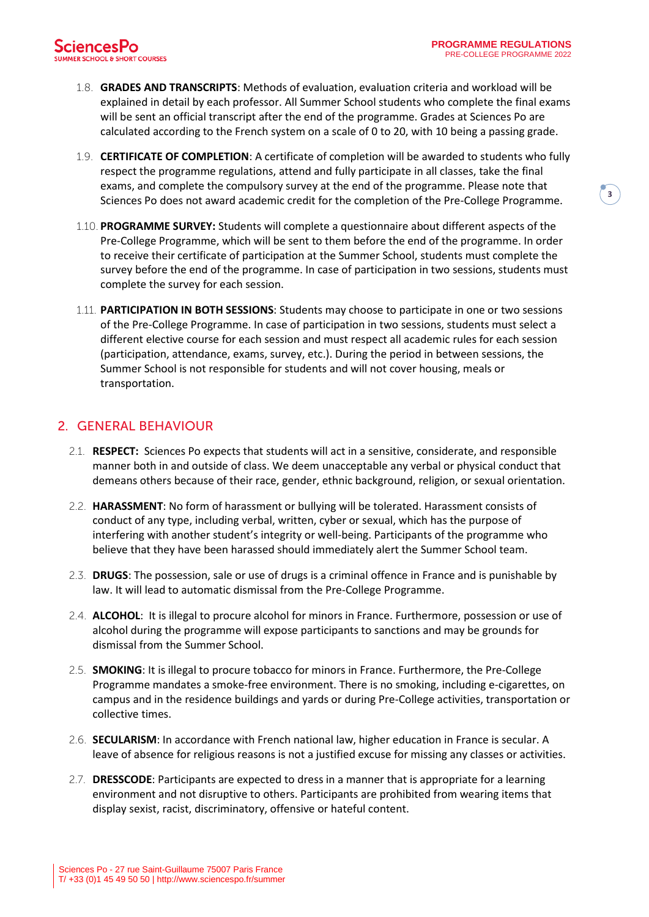- 1.8. **GRADES AND TRANSCRIPTS**: Methods of evaluation, evaluation criteria and workload will be explained in detail by each professor. All Summer School students who complete the final exams will be sent an official transcript after the end of the programme. Grades at Sciences Po are calculated according to the French system on a scale of 0 to 20, with 10 being a passing grade.
- 1.9. **CERTIFICATE OF COMPLETION**: A certificate of completion will be awarded to students who fully respect the programme regulations, attend and fully participate in all classes, take the final exams, and complete the compulsory survey at the end of the programme. Please note that Sciences Po does not award academic credit for the completion of the Pre-College Programme.
- 1.10. **PROGRAMME SURVEY:** Students will complete a questionnaire about different aspects of the Pre-College Programme, which will be sent to them before the end of the programme. In order to receive their certificate of participation at the Summer School, students must complete the survey before the end of the programme. In case of participation in two sessions, students must complete the survey for each session.
- 1.11. **PARTICIPATION IN BOTH SESSIONS**: Students may choose to participate in one or two sessions of the Pre-College Programme. In case of participation in two sessions, students must select a different elective course for each session and must respect all academic rules for each session (participation, attendance, exams, survey, etc.). During the period in between sessions, the Summer School is not responsible for students and will not cover housing, meals or transportation.

### 2. GENERAL BEHAVIOUR

- 2.1. **RESPECT:** Sciences Po expects that students will act in a sensitive, considerate, and responsible manner both in and outside of class. We deem unacceptable any verbal or physical conduct that demeans others because of their race, gender, ethnic background, religion, or sexual orientation.
- 2.2. **HARASSMENT**: No form of harassment or bullying will be tolerated. Harassment consists of conduct of any type, including verbal, written, cyber or sexual, which has the purpose of interfering with another student's integrity or well-being. Participants of the programme who believe that they have been harassed should immediately alert the Summer School team.
- 2.3. **DRUGS**: The possession, sale or use of drugs is a criminal offence in France and is punishable by law. It will lead to automatic dismissal from the Pre-College Programme.
- 2.4. **ALCOHOL**: It is illegal to procure alcohol for minors in France. Furthermore, possession or use of alcohol during the programme will expose participants to sanctions and may be grounds for dismissal from the Summer School.
- 2.5. **SMOKING**: It is illegal to procure tobacco for minors in France. Furthermore, the Pre-College Programme mandates a smoke-free environment. There is no smoking, including e-cigarettes, on campus and in the residence buildings and yards or during Pre-College activities, transportation or collective times.
- 2.6. **SECULARISM**: In accordance with French national law, higher education in France is secular. A leave of absence for religious reasons is not a justified excuse for missing any classes or activities.
- 2.7. **DRESSCODE**: Participants are expected to dress in a manner that is appropriate for a learning environment and not disruptive to others. Participants are prohibited from wearing items that display sexist, racist, discriminatory, offensive or hateful content.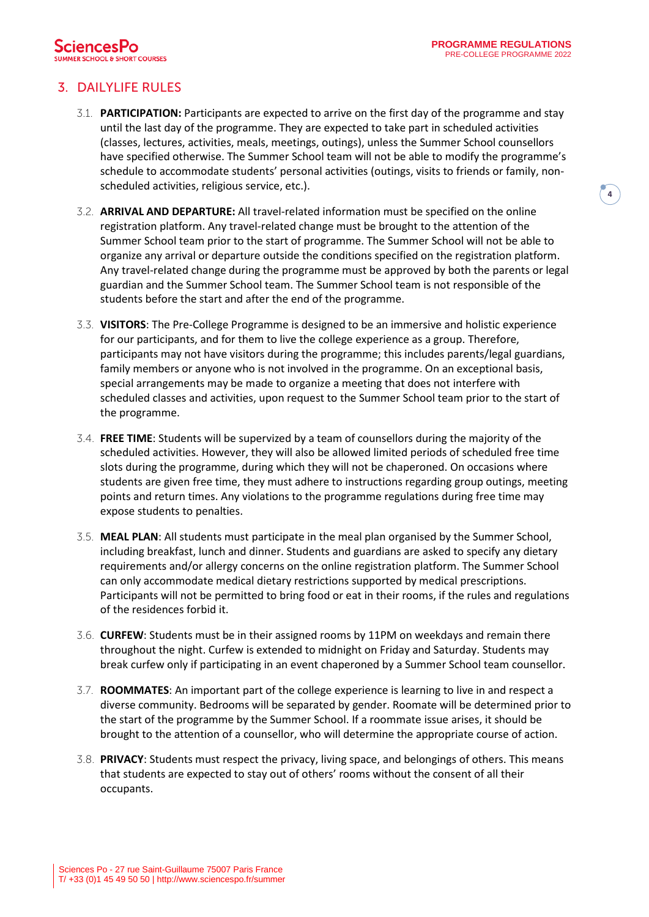# 3. DAILYLIFE RULES

- 3.1. **PARTICIPATION:** Participants are expected to arrive on the first day of the programme and stay until the last day of the programme. They are expected to take part in scheduled activities (classes, lectures, activities, meals, meetings, outings), unless the Summer School counsellors have specified otherwise. The Summer School team will not be able to modify the programme's schedule to accommodate students' personal activities (outings, visits to friends or family, nonscheduled activities, religious service, etc.).
- 3.2. **ARRIVAL AND DEPARTURE:** All travel-related information must be specified on the online registration platform. Any travel-related change must be brought to the attention of the Summer School team prior to the start of programme. The Summer School will not be able to organize any arrival or departure outside the conditions specified on the registration platform. Any travel-related change during the programme must be approved by both the parents or legal guardian and the Summer School team. The Summer School team is not responsible of the students before the start and after the end of the programme.
- 3.3. **VISITORS**: The Pre-College Programme is designed to be an immersive and holistic experience for our participants, and for them to live the college experience as a group. Therefore, participants may not have visitors during the programme; this includes parents/legal guardians, family members or anyone who is not involved in the programme. On an exceptional basis, special arrangements may be made to organize a meeting that does not interfere with scheduled classes and activities, upon request to the Summer School team prior to the start of the programme.
- 3.4. **FREE TIME**: Students will be supervized by a team of counsellors during the majority of the scheduled activities. However, they will also be allowed limited periods of scheduled free time slots during the programme, during which they will not be chaperoned. On occasions where students are given free time, they must adhere to instructions regarding group outings, meeting points and return times. Any violations to the programme regulations during free time may expose students to penalties.
- 3.5. **MEAL PLAN**: All students must participate in the meal plan organised by the Summer School, including breakfast, lunch and dinner. Students and guardians are asked to specify any dietary requirements and/or allergy concerns on the online registration platform. The Summer School can only accommodate medical dietary restrictions supported by medical prescriptions. Participants will not be permitted to bring food or eat in their rooms, if the rules and regulations of the residences forbid it.
- 3.6. **CURFEW**: Students must be in their assigned rooms by 11PM on weekdays and remain there throughout the night. Curfew is extended to midnight on Friday and Saturday. Students may break curfew only if participating in an event chaperoned by a Summer School team counsellor.
- 3.7. **ROOMMATES**: An important part of the college experience is learning to live in and respect a diverse community. Bedrooms will be separated by gender. Roomate will be determined prior to the start of the programme by the Summer School. If a roommate issue arises, it should be brought to the attention of a counsellor, who will determine the appropriate course of action.
- 3.8. **PRIVACY**: Students must respect the privacy, living space, and belongings of others. This means that students are expected to stay out of others' rooms without the consent of all their occupants.

**4**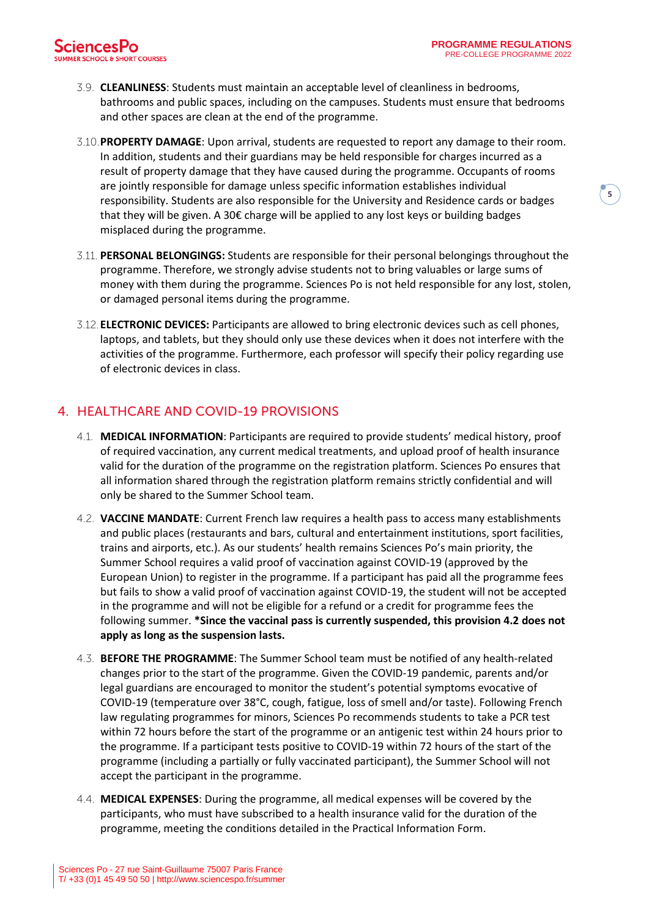**5**

- 3.9. **CLEANLINESS**: Students must maintain an acceptable level of cleanliness in bedrooms, bathrooms and public spaces, including on the campuses. Students must ensure that bedrooms and other spaces are clean at the end of the programme.
- 3.10.**PROPERTY DAMAGE**: Upon arrival, students are requested to report any damage to their room. In addition, students and their guardians may be held responsible for charges incurred as a result of property damage that they have caused during the programme. Occupants of rooms are jointly responsible for damage unless specific information establishes individual responsibility. Students are also responsible for the University and Residence cards or badges that they will be given. A 30€ charge will be applied to any lost keys or building badges misplaced during the programme.
- 3.11. **PERSONAL BELONGINGS:** Students are responsible for their personal belongings throughout the programme. Therefore, we strongly advise students not to bring valuables or large sums of money with them during the programme. Sciences Po is not held responsible for any lost, stolen, or damaged personal items during the programme.
- 3.12. **ELECTRONIC DEVICES:** Participants are allowed to bring electronic devices such as cell phones, laptops, and tablets, but they should only use these devices when it does not interfere with the activities of the programme. Furthermore, each professor will specify their policy regarding use of electronic devices in class.

### 4. HEALTHCARE AND COVID-19 PROVISIONS

**iciencesPo MER SCHOOL & SHORT COURSES** 

- 4.1. **MEDICAL INFORMATION**: Participants are required to provide students' medical history, proof of required vaccination, any current medical treatments, and upload proof of health insurance valid for the duration of the programme on the registration platform. Sciences Po ensures that all information shared through the registration platform remains strictly confidential and will only be shared to the Summer School team.
- 4.2. **VACCINE MANDATE**: Current French law requires a health pass to access many establishments and public places (restaurants and bars, cultural and entertainment institutions, sport facilities, trains and airports, etc.). As our students' health remains Sciences Po's main priority, the Summer School requires a valid proof of vaccination against COVID-19 (approved by the European Union) to register in the programme. If a participant has paid all the programme fees but fails to show a valid proof of vaccination against COVID-19, the student will not be accepted in the programme and will not be eligible for a refund or a credit for programme fees the following summer. **\*Since the vaccinal pass is currently suspended, this provision 4.2 does not apply as long as the suspension lasts.**
- 4.3. **BEFORE THE PROGRAMME**: The Summer School team must be notified of any health-related changes prior to the start of the programme. Given the COVID-19 pandemic, parents and/or legal guardians are encouraged to monitor the student's potential symptoms evocative of COVID-19 (temperature over 38°C, cough, fatigue, loss of smell and/or taste). Following French law regulating programmes for minors, Sciences Po recommends students to take a PCR test within 72 hours before the start of the programme or an antigenic test within 24 hours prior to the programme. If a participant tests positive to COVID-19 within 72 hours of the start of the programme (including a partially or fully vaccinated participant), the Summer School will not accept the participant in the programme.
- 4.4. **MEDICAL EXPENSES**: During the programme, all medical expenses will be covered by the participants, who must have subscribed to a health insurance valid for the duration of the programme, meeting the conditions detailed in the Practical Information Form.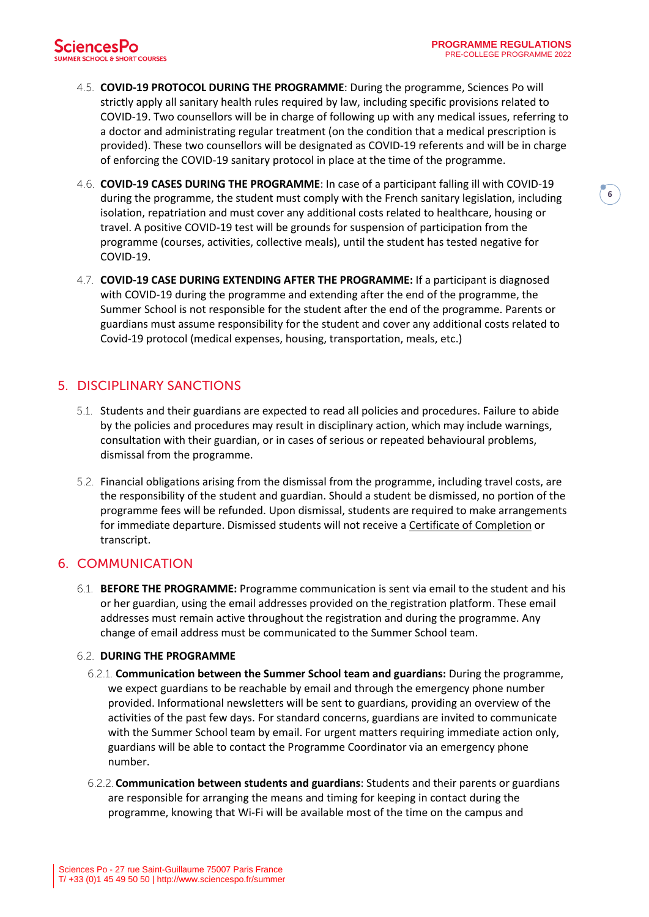- 4.5. **COVID-19 PROTOCOL DURING THE PROGRAMME**: During the programme, Sciences Po will strictly apply all sanitary health rules required by law, including specific provisions related to COVID-19. Two counsellors will be in charge of following up with any medical issues, referring to a doctor and administrating regular treatment (on the condition that a medical prescription is provided). These two counsellors will be designated as COVID-19 referents and will be in charge of enforcing the COVID-19 sanitary protocol in place at the time of the programme.
- 4.6. **COVID-19 CASES DURING THE PROGRAMME**: In case of a participant falling ill with COVID-19 during the programme, the student must comply with the French sanitary legislation, including isolation, repatriation and must cover any additional costs related to healthcare, housing or travel. A positive COVID-19 test will be grounds for suspension of participation from the programme (courses, activities, collective meals), until the student has tested negative for COVID-19.
- 4.7. **COVID-19 CASE DURING EXTENDING AFTER THE PROGRAMME:** If a participant is diagnosed with COVID-19 during the programme and extending after the end of the programme, the Summer School is not responsible for the student after the end of the programme. Parents or guardians must assume responsibility for the student and cover any additional costs related to Covid-19 protocol (medical expenses, housing, transportation, meals, etc.)

# 5. DISCIPLINARY SANCTIONS

- 5.1. Students and their guardians are expected to read all policies and procedures. Failure to abide by the policies and procedures may result in disciplinary action, which may include warnings, consultation with their guardian, or in cases of serious or repeated behavioural problems, dismissal from the programme.
- 5.2. Financial obligations arising from the dismissal from the programme, including travel costs, are the responsibility of the student and guardian. Should a student be dismissed, no portion of the programme fees will be refunded. Upon dismissal, students are required to make arrangements for immediate departure. Dismissed students will not receive a Certificate of Completion or transcript.

## 6. COMMUNICATION

6.1. **BEFORE THE PROGRAMME:** Programme communication is sent via email to the student and his or her guardian, using the email addresses provided on the registration platform. These email addresses must remain active throughout the registration and during the programme. Any change of email address must be communicated to the Summer School team.

### 6.2. **DURING THE PROGRAMME**

- 6.2.1. **Communication between the Summer School team and guardians:** During the programme, we expect guardians to be reachable by email and through the emergency phone number provided. Informational newsletters will be sent to guardians, providing an overview of the activities of the past few days. For standard concerns, guardians are invited to communicate with the Summer School team by email. For urgent matters requiring immediate action only, guardians will be able to contact the Programme Coordinator via an emergency phone number.
- 6.2.2. **Communication between students and guardians**: Students and their parents or guardians are responsible for arranging the means and timing for keeping in contact during the programme, knowing that Wi-Fi will be available most of the time on the campus and